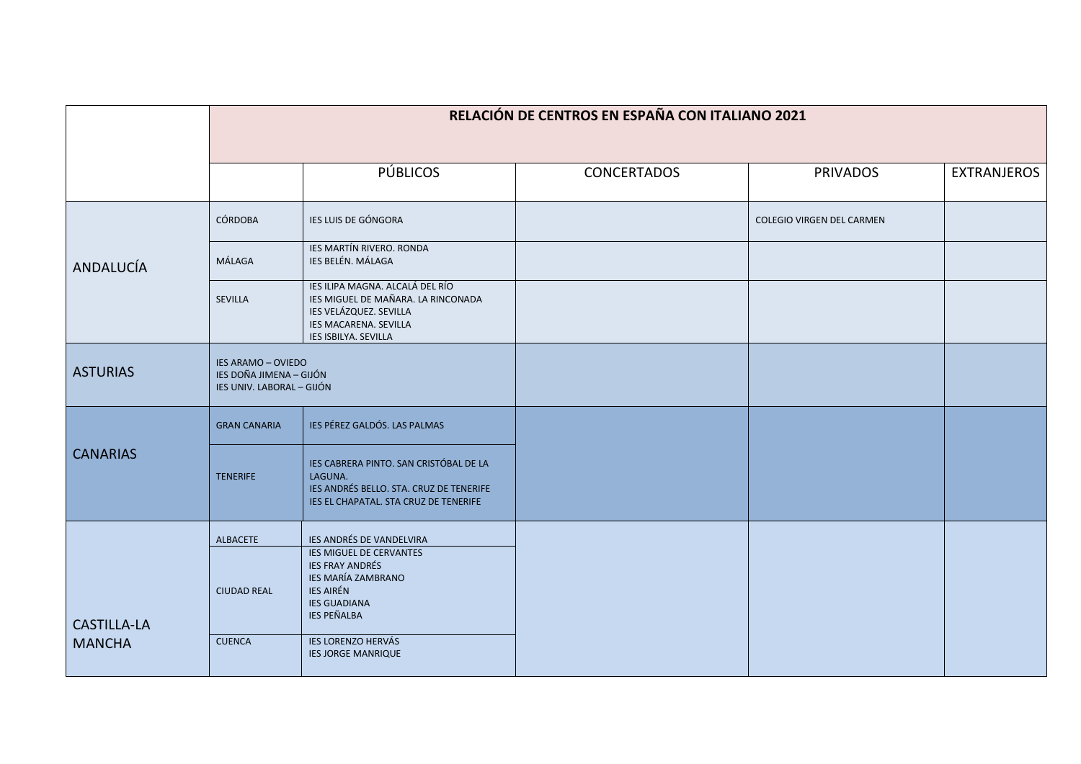|                                     | RELACIÓN DE CENTROS EN ESPAÑA CON ITALIANO 2021                            |                                                                                                                                                  |                    |                           |                    |  |  |  |
|-------------------------------------|----------------------------------------------------------------------------|--------------------------------------------------------------------------------------------------------------------------------------------------|--------------------|---------------------------|--------------------|--|--|--|
|                                     |                                                                            |                                                                                                                                                  |                    |                           |                    |  |  |  |
|                                     |                                                                            | <b>PÚBLICOS</b>                                                                                                                                  | <b>CONCERTADOS</b> | <b>PRIVADOS</b>           | <b>EXTRANJEROS</b> |  |  |  |
| ANDALUCÍA                           | CÓRDOBA                                                                    | IES LUIS DE GÓNGORA                                                                                                                              |                    | COLEGIO VIRGEN DEL CARMEN |                    |  |  |  |
|                                     | MÁLAGA                                                                     | IES MARTÍN RIVERO. RONDA<br>IES BELÉN. MÁLAGA                                                                                                    |                    |                           |                    |  |  |  |
|                                     | <b>SEVILLA</b>                                                             | IES ILIPA MAGNA. ALCALÁ DEL RÍO<br>IES MIGUEL DE MAÑARA. LA RINCONADA<br>IES VELÁZQUEZ. SEVILLA<br>IES MACARENA. SEVILLA<br>IES ISBILYA. SEVILLA |                    |                           |                    |  |  |  |
| <b>ASTURIAS</b>                     | IES ARAMO - OVIEDO<br>IES DOÑA JIMENA - GIJÓN<br>IES UNIV. LABORAL - GIJÓN |                                                                                                                                                  |                    |                           |                    |  |  |  |
| <b>CANARIAS</b>                     | <b>GRAN CANARIA</b>                                                        | IES PÉREZ GALDÓS. LAS PALMAS                                                                                                                     |                    |                           |                    |  |  |  |
|                                     | <b>TENERIFE</b>                                                            | IES CABRERA PINTO. SAN CRISTÓBAL DE LA<br>LAGUNA.<br>IES ANDRÉS BELLO. STA. CRUZ DE TENERIFE<br>IES EL CHAPATAL. STA CRUZ DE TENERIFE            |                    |                           |                    |  |  |  |
|                                     | <b>ALBACETE</b>                                                            | IES ANDRÉS DE VANDELVIRA                                                                                                                         |                    |                           |                    |  |  |  |
| <b>CASTILLA-LA</b><br><b>MANCHA</b> | <b>CIUDAD REAL</b>                                                         | IES MIGUEL DE CERVANTES<br><b>IES FRAY ANDRÉS</b><br>IES MARÍA ZAMBRANO<br><b>IES AIRÉN</b><br><b>IES GUADIANA</b><br><b>IES PEÑALBA</b>         |                    |                           |                    |  |  |  |
|                                     | <b>CUENCA</b>                                                              | <b>IES LORENZO HERVÁS</b><br><b>IES JORGE MANRIQUE</b>                                                                                           |                    |                           |                    |  |  |  |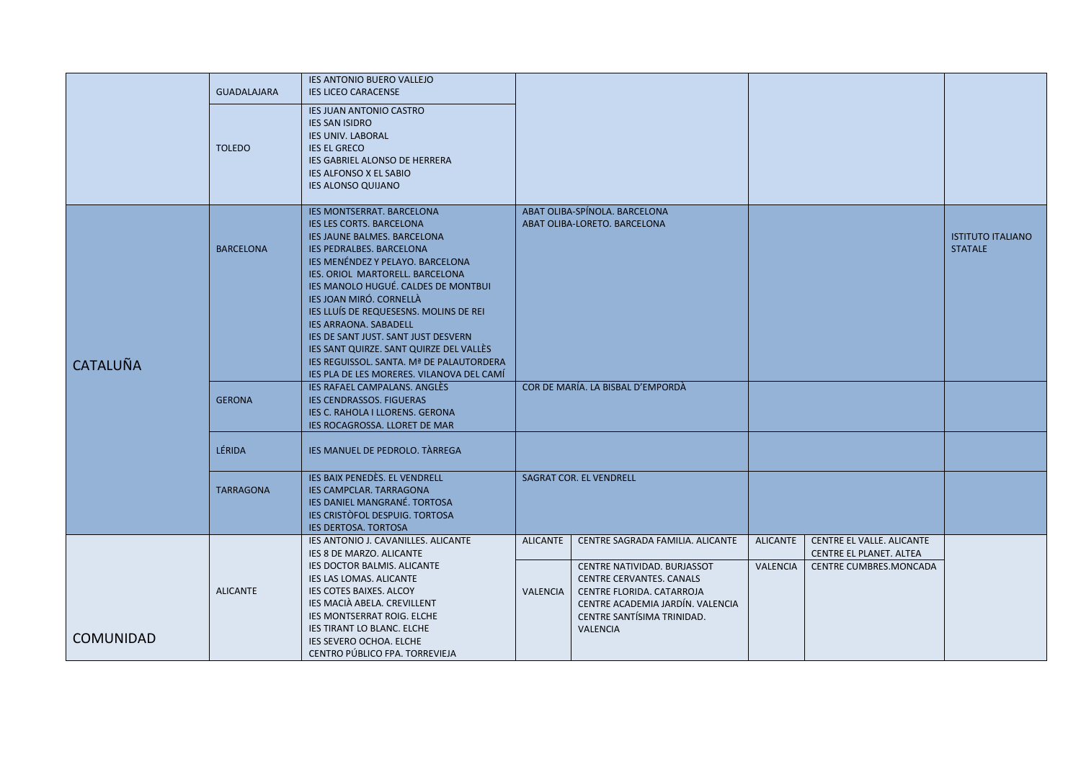|                  | <b>GUADALAJARA</b><br><b>TOLEDO</b> | <b>IES ANTONIO BUERO VALLEJO</b><br><b>IES LICEO CARACENSE</b><br><b>IES JUAN ANTONIO CASTRO</b><br><b>IES SAN ISIDRO</b><br><b>IES UNIV. LABORAL</b><br><b>IES EL GRECO</b><br>IES GABRIEL ALONSO DE HERRERA<br><b>IES ALFONSO X EL SABIO</b><br><b>IES ALONSO QUIJANO</b>                                                                                                                                                                                                                                                         |                             |                                                                                                                                                                                                                      |                                    |                                                                                |                                            |
|------------------|-------------------------------------|-------------------------------------------------------------------------------------------------------------------------------------------------------------------------------------------------------------------------------------------------------------------------------------------------------------------------------------------------------------------------------------------------------------------------------------------------------------------------------------------------------------------------------------|-----------------------------|----------------------------------------------------------------------------------------------------------------------------------------------------------------------------------------------------------------------|------------------------------------|--------------------------------------------------------------------------------|--------------------------------------------|
| <b>CATALUÑA</b>  | <b>BARCELONA</b>                    | <b>IES MONTSERRAT. BARCELONA</b><br><b>IES LES CORTS. BARCELONA</b><br>IES JAUNE BALMES. BARCELONA<br>IES PEDRALBES. BARCELONA<br>JES MENÉNDEZ Y PELAYO. BARCELONA<br>IES. ORIOL MARTORELL. BARCELONA<br>IES MANOLO HUGUÉ. CALDES DE MONTBUI<br><b>IES JOAN MIRÓ, CORNELLÀ</b><br>IES LLUÍS DE REQUESESNS. MOLINS DE REI<br><b>IES ARRAONA. SABADELL</b><br>IES DE SANT JUST. SANT JUST DESVERN<br>IES SANT QUIRZE. SANT QUIRZE DEL VALLÈS<br>IES REGUISSOL. SANTA. Mª DE PALAUTORDERA<br>IES PLA DE LES MORERES. VILANOVA DEL CAMÍ |                             | ABAT OLIBA-SPÍNOLA. BARCELONA<br>ABAT OLIBA-LORETO. BARCELONA                                                                                                                                                        |                                    |                                                                                | <b>ISTITUTO ITALIANO</b><br><b>STATALE</b> |
|                  | <b>GERONA</b>                       | <b>IES RAFAEL CAMPALANS. ANGLÈS</b><br><b>IES CENDRASSOS. FIGUERAS</b><br>IES C. RAHOLA I LLORENS. GERONA<br>IES ROCAGROSSA. LLORET DE MAR                                                                                                                                                                                                                                                                                                                                                                                          |                             | COR DE MARÍA. LA BISBAL D'EMPORDÀ                                                                                                                                                                                    |                                    |                                                                                |                                            |
|                  | <b>LÉRIDA</b>                       | IES MANUEL DE PEDROLO. TÀRREGA                                                                                                                                                                                                                                                                                                                                                                                                                                                                                                      |                             |                                                                                                                                                                                                                      |                                    |                                                                                |                                            |
|                  | <b>TARRAGONA</b>                    | <b>IES BAIX PENEDÈS. EL VENDRELL</b><br>IES CAMPCLAR. TARRAGONA<br><b>IES DANIEL MANGRANÉ, TORTOSA</b><br><b>IES CRISTÒFOL DESPUIG. TORTOSA</b><br>IES DERTOSA. TORTOSA                                                                                                                                                                                                                                                                                                                                                             | SAGRAT COR. EL VENDRELL     |                                                                                                                                                                                                                      |                                    |                                                                                |                                            |
| <b>COMUNIDAD</b> | <b>ALICANTE</b>                     | <b>IES ANTONIO J. CAVANILLES, ALICANTE</b><br>IES 8 DE MARZO. ALICANTE<br>IES DOCTOR BALMIS. ALICANTE<br>IES LAS LOMAS. ALICANTE<br>IES COTES BAIXES. ALCOY<br>IES MACIÀ ABELA. CREVILLENT<br>IES MONTSERRAT ROIG. ELCHE<br><b>IES TIRANT LO BLANC. ELCHE</b><br>IES SEVERO OCHOA. ELCHE<br>CENTRO PÚBLICO FPA. TORREVIEJA                                                                                                                                                                                                          | <b>ALICANTE</b><br>VALENCIA | CENTRE SAGRADA FAMILIA. ALICANTE<br>CENTRE NATIVIDAD. BURJASSOT<br><b>CENTRE CERVANTES, CANALS</b><br>CENTRE FLORIDA. CATARROJA<br>CENTRE ACADEMIA JARDÍN. VALENCIA<br>CENTRE SANTÍSIMA TRINIDAD.<br><b>VALENCIA</b> | <b>ALICANTE</b><br><b>VALENCIA</b> | CENTRE EL VALLE. ALICANTE<br>CENTRE EL PLANET. ALTEA<br>CENTRE CUMBRES.MONCADA |                                            |